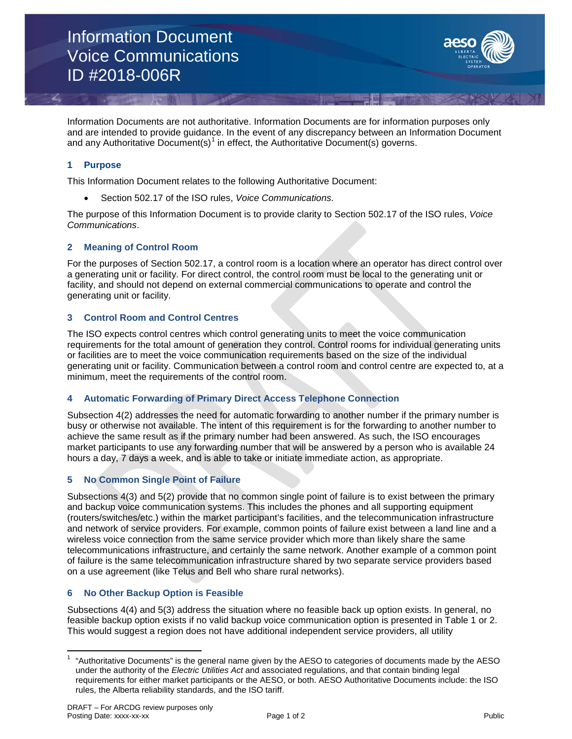Information Document Voice Communications ID #2018-006R



Information Documents are not authoritative. Information Documents are for information purposes only and are intended to provide guidance. In the event of any discrepancy between an Information Document and any Authoritative Document(s)<sup>[1](#page-0-0)</sup> in effect, the Authoritative Document(s) governs.

# **1 Purpose**

This Information Document relates to the following Authoritative Document:

• Section 502.17 of the ISO rules, *Voice Communications.*

The purpose of this Information Document is to provide clarity to Section 502.17 of the ISO rules, *Voice Communications*.

# **2 Meaning of Control Room**

For the purposes of Section 502.17, a control room is a location where an operator has direct control over a generating unit or facility. For direct control, the control room must be local to the generating unit or facility, and should not depend on external commercial communications to operate and control the generating unit or facility.

# **3 Control Room and Control Centres**

The ISO expects control centres which control generating units to meet the voice communication requirements for the total amount of generation they control. Control rooms for individual generating units or facilities are to meet the voice communication requirements based on the size of the individual generating unit or facility. Communication between a control room and control centre are expected to, at a minimum, meet the requirements of the control room.

# **4 Automatic Forwarding of Primary Direct Access Telephone Connection**

Subsection 4(2) addresses the need for automatic forwarding to another number if the primary number is busy or otherwise not available. The intent of this requirement is for the forwarding to another number to achieve the same result as if the primary number had been answered. As such, the ISO encourages market participants to use any forwarding number that will be answered by a person who is available 24 hours a day, 7 days a week, and is able to take or initiate immediate action, as appropriate.

# **5 No Common Single Point of Failure**

Subsections 4(3) and 5(2) provide that no common single point of failure is to exist between the primary and backup voice communication systems. This includes the phones and all supporting equipment (routers/switches/etc.) within the market participant's facilities, and the telecommunication infrastructure and network of service providers. For example, common points of failure exist between a land line and a wireless voice connection from the same service provider which more than likely share the same telecommunications infrastructure, and certainly the same network. Another example of a common point of failure is the same telecommunication infrastructure shared by two separate service providers based on a use agreement (like Telus and Bell who share rural networks).

# **6 No Other Backup Option is Feasible**

Subsections 4(4) and 5(3) address the situation where no feasible back up option exists. In general, no feasible backup option exists if no valid backup voice communication option is presented in Table 1 or 2. This would suggest a region does not have additional independent service providers, all utility

<span id="page-0-0"></span><sup>1</sup> "Authoritative Documents" is the general name given by the AESO to categories of documents made by the AESO under the authority of the *Electric Utilities Act* and associated regulations, and that contain binding legal requirements for either market participants or the AESO, or both. AESO Authoritative Documents include: the ISO rules, the Alberta reliability standards, and the ISO tariff.